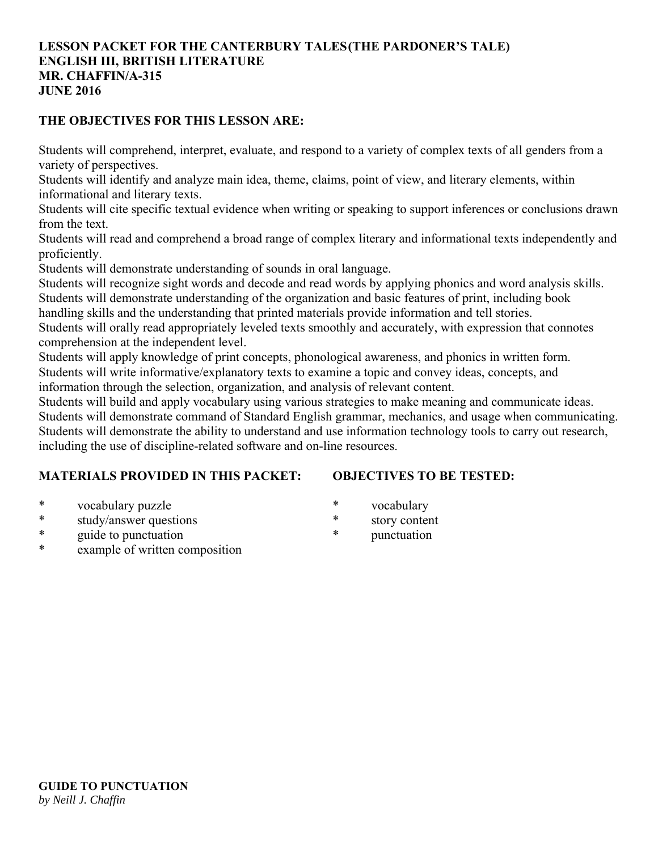## **LESSON PACKET FOR THE CANTERBURY TALES (THE PARDONER'S TALE) ENGLISH III, BRITISH LITERATURE MR. CHAFFIN/A-315 JUNE 2016**

## **THE OBJECTIVES FOR THIS LESSON ARE:**

Students will comprehend, interpret, evaluate, and respond to a variety of complex texts of all genders from a variety of perspectives.

Students will identify and analyze main idea, theme, claims, point of view, and literary elements, within informational and literary texts.

Students will cite specific textual evidence when writing or speaking to support inferences or conclusions drawn from the text.

Students will read and comprehend a broad range of complex literary and informational texts independently and proficiently.

Students will demonstrate understanding of sounds in oral language.

Students will recognize sight words and decode and read words by applying phonics and word analysis skills. Students will demonstrate understanding of the organization and basic features of print, including book

handling skills and the understanding that printed materials provide information and tell stories.

Students will orally read appropriately leveled texts smoothly and accurately, with expression that connotes comprehension at the independent level.

Students will apply knowledge of print concepts, phonological awareness, and phonics in written form. Students will write informative/explanatory texts to examine a topic and convey ideas, concepts, and information through the selection, organization, and analysis of relevant content.

Students will build and apply vocabulary using various strategies to make meaning and communicate ideas.

Students will demonstrate command of Standard English grammar, mechanics, and usage when communicating. Students will demonstrate the ability to understand and use information technology tools to carry out research, including the use of discipline-related software and on-line resources.

# **MATERIALS PROVIDED IN THIS PACKET:**

# **OBJECTIVES TO BE TESTED:**

- \* vocabulary puzzle
- \* study/answer questions
- \* guide to punctuation
- example of written composition
- \* vocabulary
- \* story content
- \* punctuation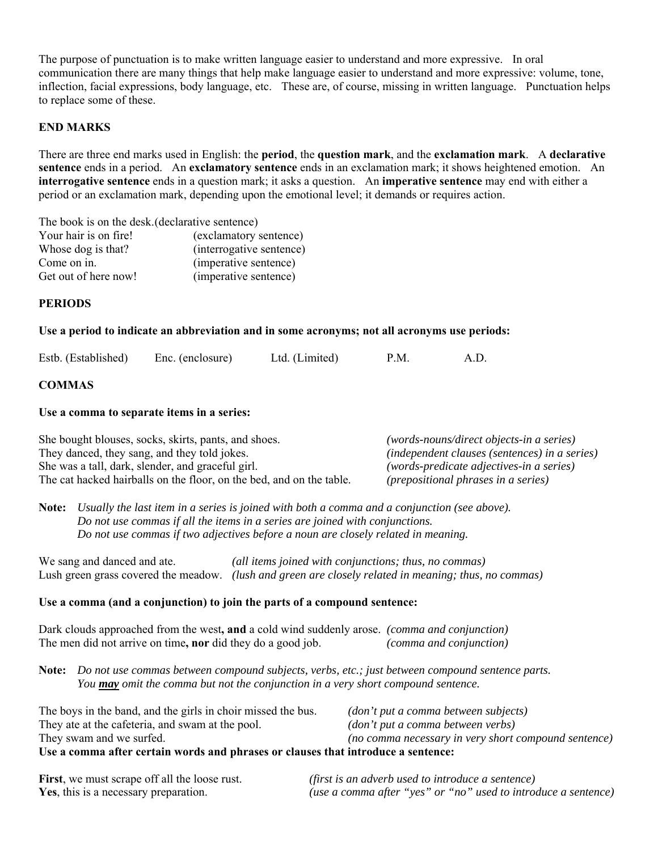The purpose of punctuation is to make written language easier to understand and more expressive. In oral communication there are many things that help make language easier to understand and more expressive: volume, tone, inflection, facial expressions, body language, etc. These are, of course, missing in written language. Punctuation helps to replace some of these.

### **END MARKS**

There are three end marks used in English: the **period**, the **question mark**, and the **exclamation mark**. A **declarative sentence** ends in a period. An **exclamatory sentence** ends in an exclamation mark; it shows heightened emotion. An **interrogative sentence** ends in a question mark; it asks a question. An **imperative sentence** may end with either a period or an exclamation mark, depending upon the emotional level; it demands or requires action.

The book is on the desk. (declarative sentence) Your hair is on fire! (exclamatory sentence) Whose dog is that? (interrogative sentence) Come on in. (imperative sentence) Get out of here now! (imperative sentence)

### **PERIODS**

#### **Use a period to indicate an abbreviation and in some acronyms; not all acronyms use periods:**

| Estb. (Established) | Enc. (enclosure) | Ltd. (Limited) | P.M. |  |
|---------------------|------------------|----------------|------|--|
|                     |                  |                |      |  |

### **COMMAS**

#### **Use a comma to separate items in a series:**

| She bought blouses, socks, skirts, pants, and shoes.                 | (words-nouns/direct objects-in a series)             |
|----------------------------------------------------------------------|------------------------------------------------------|
| They danced, they sang, and they told jokes.                         | <i>(independent clauses (sentences) in a series)</i> |
| She was a tall, dark, slender, and graceful girl.                    | (words-predicate adjectives-in a series)             |
| The cat hacked hairballs on the floor, on the bed, and on the table. | <i>(prepositional phrases in a series)</i>           |

**Note:** *Usually the last item in a series is joined with both a comma and a conjunction (see above). Do not use commas if all the items in a series are joined with conjunctions. Do not use commas if two adjectives before a noun are closely related in meaning.*

We sang and danced and ate. *(all items joined with conjunctions; thus, no commas)* Lush green grass covered the meadow. *(lush and green are closely related in meaning; thus, no commas)*

### **Use a comma (and a conjunction) to join the parts of a compound sentence:**

Dark clouds approached from the west**, and** a cold wind suddenly arose. *(comma and conjunction)* The men did not arrive on time**, nor** did they do a good job. *(comma and conjunction)*

**Note:** *Do not use commas between compound subjects, verbs, etc.; just between compound sentence parts. You may omit the comma but not the conjunction in a very short compound sentence.*

| Use a comma after certain words and phrases or clauses that introduce a sentence: |                                                      |  |
|-----------------------------------------------------------------------------------|------------------------------------------------------|--|
| They swam and we surfed.                                                          | (no comma necessary in very short compound sentence) |  |
| They at the cafeteria, and swam at the pool.                                      | (don't put a comma between verbs)                    |  |
| The boys in the band, and the girls in choir missed the bus.                      | (don't put a comma between subjects)                 |  |

| First, we must scrape off all the loose rust. | (first is an adverb used to introduce a sentence)              |
|-----------------------------------------------|----------------------------------------------------------------|
| Yes, this is a necessary preparation.         | (use a comma after "yes" or "no" used to introduce a sentence) |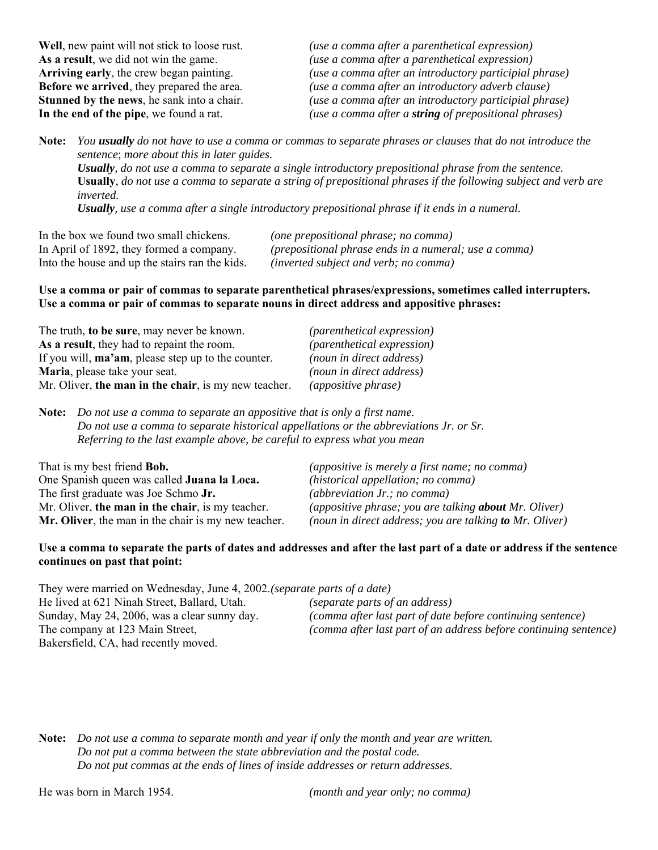**Well**, new paint will not stick to loose rust. *(use a comma after a parenthetical expression)* **As a result**, we did not win the game. *(use a comma after a parenthetical expression)* **Arriving early**, the crew began painting. *(use a comma after an introductory participial phrase)* **Before we arrived**, they prepared the area. *(use a comma after an introductory adverb clause)* **Stunned by the news**, he sank into a chair. *(use a comma after an introductory participial phrase)* **In the end of the pipe**, we found a rat. *(use a comma after a string of prepositional phrases)*

**Note:** *You usually do not have to use a comma or commas to separate phrases or clauses that do not introduce the sentence*; *more about this in later guides.*

*Usually, do not use a comma to separate a single introductory prepositional phrase from the sentence.* **Usually**, *do not use a comma to separate a string of prepositional phrases if the following subject and verb are inverted.*

*Usually, use a comma after a single introductory prepositional phrase if it ends in a numeral.*

| In the box we found two small chickens.        | (one prepositional phrase; no comma)                  |
|------------------------------------------------|-------------------------------------------------------|
| In April of 1892, they formed a company.       | (prepositional phrase ends in a numeral; use a comma) |
| Into the house and up the stairs ran the kids. | (inverted subject and verb; no comma)                 |

### **Use a comma or pair of commas to separate parenthetical phrases/expressions, sometimes called interrupters. Use a comma or pair of commas to separate nouns in direct address and appositive phrases:**

| The truth, to be sure, may never be known.                 | <i>(parenthetical expression)</i> |
|------------------------------------------------------------|-----------------------------------|
| As a result, they had to repaint the room.                 | <i>(parenthetical expression)</i> |
| If you will, <b>ma'am</b> , please step up to the counter. | (noun in direct address)          |
| Maria, please take your seat.                              | (noun in direct address)          |
| Mr. Oliver, the man in the chair, is my new teacher.       | (appositive phrase)               |

**Note:** *Do not use a comma to separate an appositive that is only a first name. Do not use a comma to separate historical appellations or the abbreviations Jr. or Sr. Referring to the last example above, be careful to express what you mean*

| That is my best friend <b>Bob.</b>                  | <i>(appositive is merely a first name; no comma)</i>         |
|-----------------------------------------------------|--------------------------------------------------------------|
| One Spanish queen was called Juana la Loca.         | (historical appellation; no comma)                           |
| The first graduate was Joe Schmo Jr.                | (abbreviation $Jr$ .; no comma)                              |
| Mr. Oliver, the man in the chair, is my teacher.    | <i>(appositive phrase; you are talking about Mr. Oliver)</i> |
| Mr. Oliver, the man in the chair is my new teacher. | (noun in direct address; you are talking to Mr. Oliver)      |

### **Use a comma to separate the parts of dates and addresses and after the last part of a date or address if the sentence continues on past that point:**

They were married on Wednesday, June 4, 2002. *(separate parts of a date)*

He lived at 621 Ninah Street, Ballard, Utah. *(separate parts of an address)* Sunday, May 24, 2006, was a clear sunny day. *(comma after last part of date before continuing sentence)* The company at 123 Main Street, *(comma after last part of an address before continuing sentence)* Bakersfield, CA, had recently moved.

**Note:** *Do not use a comma to separate month and year if only the month and year are written. Do not put a comma between the state abbreviation and the postal code. Do not put commas at the ends of lines of inside addresses or return addresses*.

He was born in March 1954. *(month and year only; no comma)*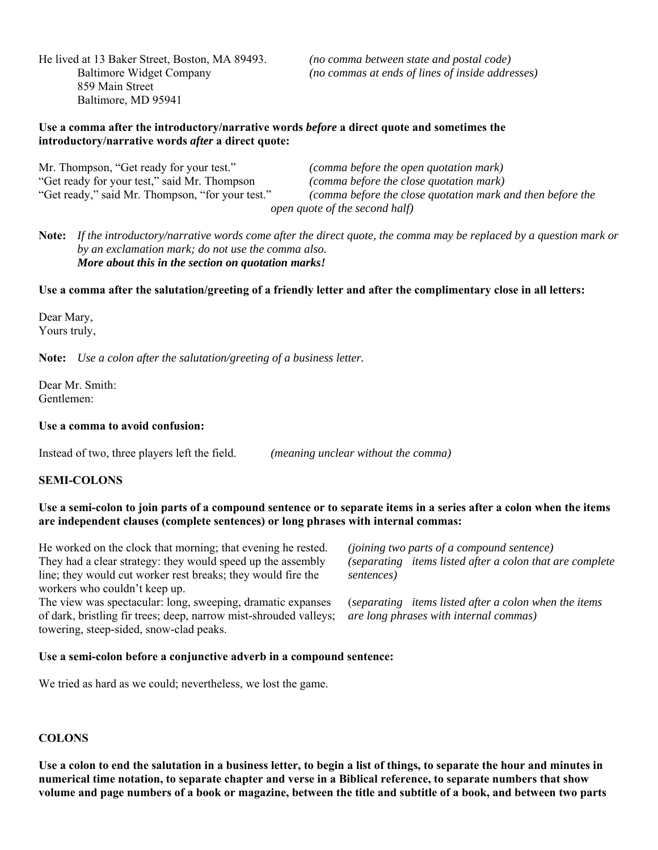He lived at 13 Baker Street, Boston, MA 89493. *(no comma between state and postal code)* 859 Main Street Baltimore, MD 95941

Baltimore Widget Company *(no commas at ends of lines of inside addresses)*

### **Use a comma after the introductory/narrative words** *before* **a direct quote and sometimes the introductory/narrative words** *after* **a direct quote:**

Mr. Thompson, "Get ready for your test." *(comma before the open quotation mark)* "Get ready for your test," said Mr. Thompson *(comma before the close quotation mark)* (comma before the close quotation mark and then before the  *open quote of the second half)*

**Note:** *If the introductory/narrative words come after the direct quote, the comma may be replaced by a question mark or by an exclamation mark; do not use the comma also. More about this in the section on quotation marks!*

### **Use a comma after the salutation/greeting of a friendly letter and after the complimentary close in all letters:**

Dear Mary, Yours truly,

**Note:** *Use a colon after the salutation/greeting of a business letter.*

Dear Mr. Smith: Gentlemen:

### **Use a comma to avoid confusion:**

Instead of two, three players left the field. *(meaning unclear without the comma)*

### **SEMI-COLONS**

### **Use a semi-colon to join parts of a compound sentence or to separate items in a series after a colon when the items are independent clauses (complete sentences) or long phrases with internal commas:**

He worked on the clock that morning; that evening he rested. *(joining two parts of a compound sentence)* They had a clear strategy: they would speed up the assembly *(separating items listed after a colon that are complete*  line; they would cut worker rest breaks; they would fire the *sentences)* workers who couldn't keep up.

The view was spectacular: long, sweeping, dramatic expanses (*separating items listed after a colon when the items* of dark, bristling fir trees; deep, narrow mist-shrouded valleys; *are long phrases with internal commas)* towering, steep-sided, snow-clad peaks.

#### **Use a semi-colon before a conjunctive adverb in a compound sentence:**

We tried as hard as we could; nevertheless, we lost the game.

### **COLONS**

**Use a colon to end the salutation in a business letter, to begin a list of things, to separate the hour and minutes in numerical time notation, to separate chapter and verse in a Biblical reference, to separate numbers that show volume and page numbers of a book or magazine, between the title and subtitle of a book, and between two parts**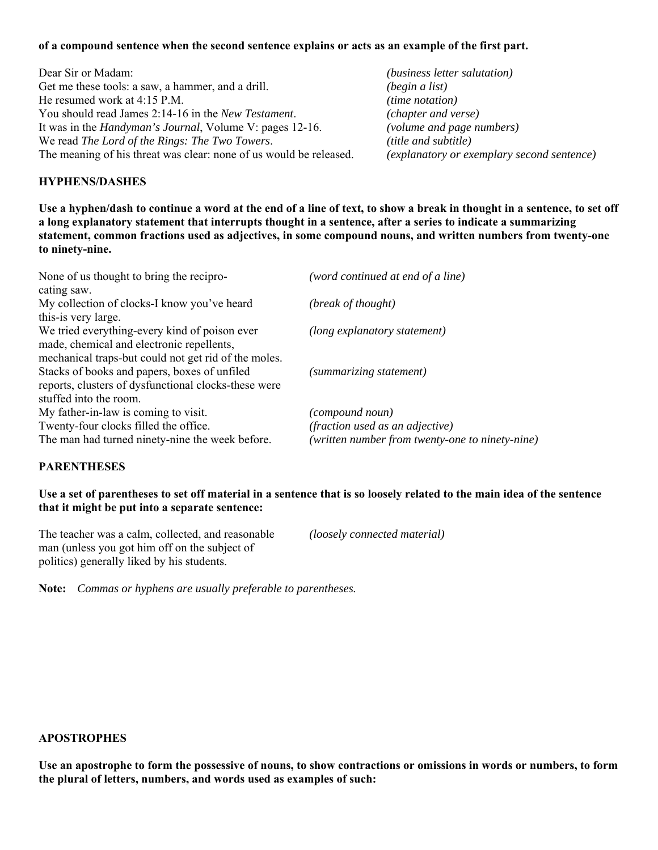### **of a compound sentence when the second sentence explains or acts as an example of the first part.**

Dear Sir or Madam: *(business letter salutation)* Get me these tools: a saw, a hammer, and a drill. *(begin a list)* He resumed work at 4:15 P.M. *(time notation)* You should read James 2:14-16 in the *New Testament*. *(chapter and verse)* It was in the *Handyman's Journal*, Volume V: pages 12-16. *(volume and page numbers)* We read *The Lord of the Rings: The Two Towers*. *(title and subtitle)* The meaning of his threat was clear: none of us would be released. *(explanatory or exemplary second sentence)*

### **HYPHENS/DASHES**

**Use a hyphen/dash to continue a word at the end of a line of text, to show a break in thought in a sentence, to set off a long explanatory statement that interrupts thought in a sentence, after a series to indicate a summarizing statement, common fractions used as adjectives, in some compound nouns, and written numbers from twenty-one to ninety-nine.**

| None of us thought to bring the recipro-             | (word continued at end of a line)               |
|------------------------------------------------------|-------------------------------------------------|
| cating saw.                                          |                                                 |
| My collection of clocks-I know you've heard          | (break of thought)                              |
| this-is very large.                                  |                                                 |
| We tried everything-every kind of poison ever        | (long explanatory statement)                    |
| made, chemical and electronic repellents,            |                                                 |
| mechanical traps-but could not get rid of the moles. |                                                 |
| Stacks of books and papers, boxes of unfiled         | (summarizing statement)                         |
| reports, clusters of dysfunctional clocks-these were |                                                 |
| stuffed into the room.                               |                                                 |
| My father-in-law is coming to visit.                 | (compound noun)                                 |
| Twenty-four clocks filled the office.                | <i>(fraction used as an adjective)</i>          |
| The man had turned ninety-nine the week before.      | (written number from twenty-one to ninety-nine) |

## **PARENTHESES**

### **Use a set of parentheses to set off material in a sentence that is so loosely related to the main idea of the sentence that it might be put into a separate sentence:**

The teacher was a calm, collected, and reasonable *(loosely connected material)* man (unless you got him off on the subject of politics) generally liked by his students.

**Note:** *Commas or hyphens are usually preferable to parentheses.*

### **APOSTROPHES**

**Use an apostrophe to form the possessive of nouns, to show contractions or omissions in words or numbers, to form the plural of letters, numbers, and words used as examples of such:**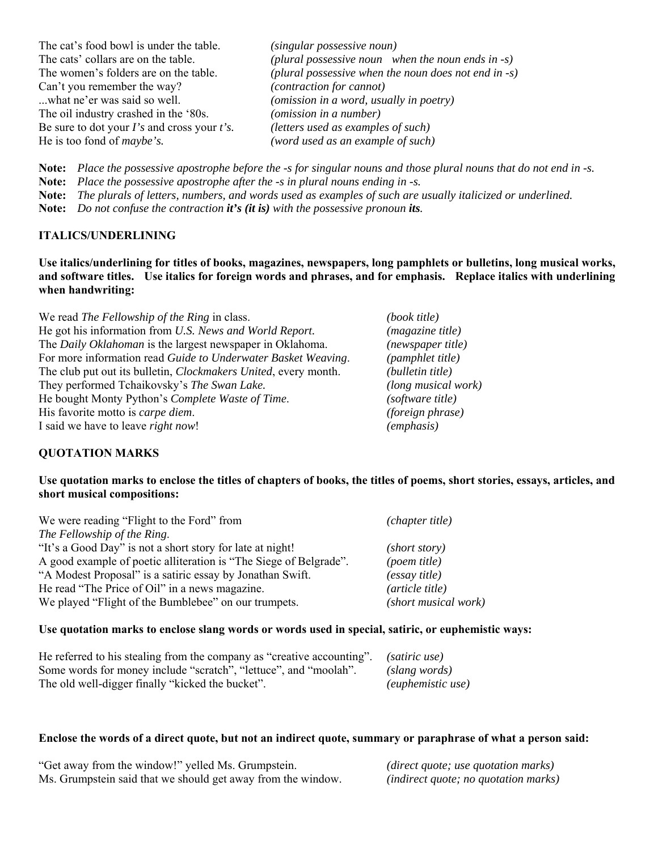| The cat's food bowl is under the table.           | (singular possessive noun)                           |
|---------------------------------------------------|------------------------------------------------------|
| The cats' collars are on the table.               | (plural possessive noun when the noun ends in $-s$ ) |
| The women's folders are on the table.             | (plural possessive when the noun does not end in -s) |
| Can't you remember the way?                       | (contraction for cannot)                             |
| what ne'er was said so well.                      | ( <i>omission in a word, usually in poetry</i> )     |
| The oil industry crashed in the '80s.             | (omission in a number)                               |
| Be sure to dot your $I$ 's and cross your $t$ 's. | (letters used as examples of such)                   |
| He is too fond of <i>maybe's</i> .                | (word used as an example of such)                    |
|                                                   |                                                      |

**Note:** *Place the possessive apostrophe before the -s for singular nouns and those plural nouns that do not end in -s.*

**Note:** *Place the possessive apostrophe after the -s in plural nouns ending in -s.*

**Note:** *The plurals of letters, numbers, and words used as examples of such are usually italicized or underlined.*

**Note:** *Do not confuse the contraction it's (it is) with the possessive pronoun its.* 

## **ITALICS/UNDERLINING**

**Use italics/underlining for titles of books, magazines, newspapers, long pamphlets or bulletins, long musical works, and software titles. Use italics for foreign words and phrases, and for emphasis. Replace italics with underlining when handwriting:**

| We read The Fellowship of the Ring in class.                            | (book title)        |
|-------------------------------------------------------------------------|---------------------|
| He got his information from U.S. News and World Report.                 | (magazine title)    |
| The Daily Oklahoman is the largest newspaper in Oklahoma.               | (newspaper title)   |
| For more information read Guide to Underwater Basket Weaving.           | (pamphlet title)    |
| The club put out its bulletin, <i>Clockmakers United</i> , every month. | (bulletin title)    |
| They performed Tchaikovsky's The Swan Lake.                             | (long musical work) |
| He bought Monty Python's Complete Waste of Time.                        | (software title)    |
| His favorite motto is <i>carpe diem</i> .                               | (foreign phrase)    |
| I said we have to leave <i>right now!</i>                               | (emphasis)          |

## **QUOTATION MARKS**

## **Use quotation marks to enclose the titles of chapters of books, the titles of poems, short stories, essays, articles, and short musical compositions:**

| We were reading "Flight to the Ford" from                         | (chapter title)      |
|-------------------------------------------------------------------|----------------------|
| The Fellowship of the Ring.                                       |                      |
| "It's a Good Day" is not a short story for late at night!         | (short story)        |
| A good example of poetic alliteration is "The Siege of Belgrade". | (poem title)         |
| "A Modest Proposal" is a satiric essay by Jonathan Swift.         | <i>(essay title)</i> |
| He read "The Price of Oil" in a news magazine.                    | (article title)      |
| We played "Flight of the Bumblebee" on our trumpets.              | (short musical work) |

## **Use quotation marks to enclose slang words or words used in special, satiric, or euphemistic ways:**

| He referred to his stealing from the company as "creative accounting". (satiric use) |                          |
|--------------------------------------------------------------------------------------|--------------------------|
| Some words for money include "scratch", "lettuce", and "moolah".                     | (slang words)            |
| The old well-digger finally "kicked the bucket".                                     | <i>(euphemistic use)</i> |

## **Enclose the words of a direct quote, but not an indirect quote, summary or paraphrase of what a person said:**

| "Get away from the window!" yelled Ms. Grumpstein.           | $(direct\ quote; use\ quotation\ marks)$ |
|--------------------------------------------------------------|------------------------------------------|
| Ms. Grumpstein said that we should get away from the window. | (indirect quote; no quotation marks)     |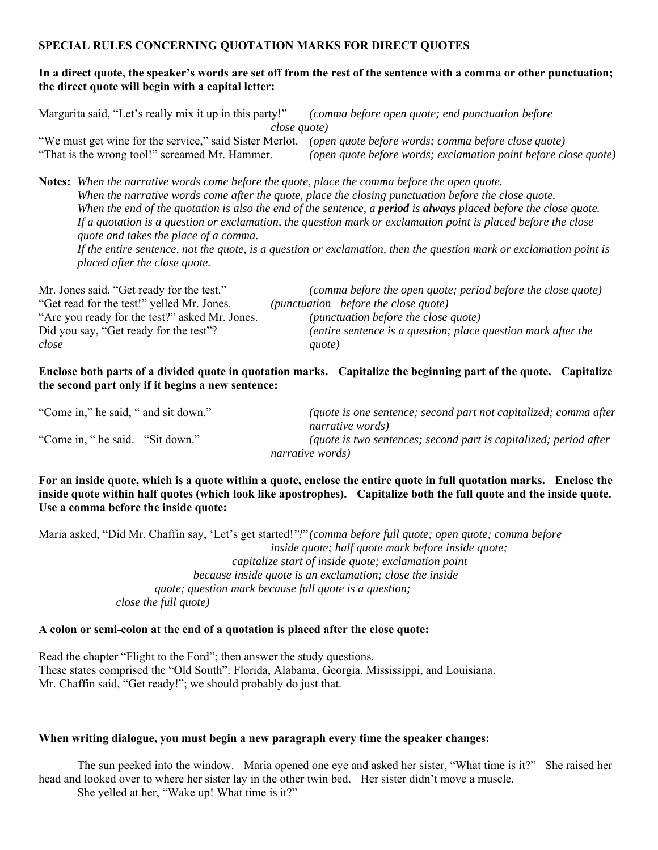### **SPECIAL RULES CONCERNING QUOTATION MARKS FOR DIRECT QUOTES**

### **In a direct quote, the speaker's words are set off from the rest of the sentence with a comma or other punctuation; the direct quote will begin with a capital letter:**

| Margarita said, "Let's really mix it up in this party!"                                                     | (comma before open quote; end punctuation before)               |  |
|-------------------------------------------------------------------------------------------------------------|-----------------------------------------------------------------|--|
| close quote)                                                                                                |                                                                 |  |
| "We must get wine for the service," said Sister Merlot. (open quote before words; comma before close quote) |                                                                 |  |
| "That is the wrong tool!" screamed Mr. Hammer.                                                              | (open quote before words; exclamation point before close quote) |  |

**Notes:** *When the narrative words come before the quote, place the comma before the open quote. When the narrative words come after the quote, place the closing punctuation before the close quote. When the end of the quotation is also the end of the sentence, a <i>period is always* placed before the close quote.  *If a quotation is a question or exclamation, the question mark or exclamation point is placed before the close quote and takes the place of a comma.* 

 *If the entire sentence, not the quote, is a question or exclamation, then the question mark or exclamation point is placed after the close quote.*

| Mr. Jones said, "Get ready for the test."      | (comma before the open quote; period before the close quote)  |
|------------------------------------------------|---------------------------------------------------------------|
| "Get read for the test!" yelled Mr. Jones.     | (punctuation before the close quote)                          |
| "Are you ready for the test?" asked Mr. Jones. | <i>(punctuation before the close quote)</i>                   |
| Did you say, "Get ready for the test"?         | (entire sentence is a question; place question mark after the |
| close                                          | quote)                                                        |

**Enclose both parts of a divided quote in quotation marks. Capitalize the beginning part of the quote. Capitalize the second part only if it begins a new sentence:**

| "Come in," he said, " and sit down." | (quote is one sentence; second part not capitalized; comma after  |
|--------------------------------------|-------------------------------------------------------------------|
|                                      | narrative words)                                                  |
| "Come in, " he said. "Sit down."     | (quote is two sentences; second part is capitalized; period after |
|                                      | narrative words)                                                  |

**For an inside quote, which is a quote within a quote, enclose the entire quote in full quotation marks. Enclose the inside quote within half quotes (which look like apostrophes). Capitalize both the full quote and the inside quote. Use a comma before the inside quote:**

Maria asked, "Did Mr. Chaffin say, 'Let's get started!'?" *(comma before full quote; open quote; comma before inside quote; half quote mark before inside quote; capitalize start of inside quote; exclamation point because inside quote is an exclamation; close the inside quote; question mark because full quote is a question; close the full quote)*

### **A colon or semi-colon at the end of a quotation is placed after the close quote:**

Read the chapter "Flight to the Ford"; then answer the study questions. These states comprised the "Old South": Florida, Alabama, Georgia, Mississippi, and Louisiana. Mr. Chaffin said, "Get ready!"; we should probably do just that.

#### **When writing dialogue, you must begin a new paragraph every time the speaker changes:**

The sun peeked into the window. Maria opened one eye and asked her sister, "What time is it?" She raised her head and looked over to where her sister lay in the other twin bed. Her sister didn't move a muscle. She yelled at her, "Wake up! What time is it?"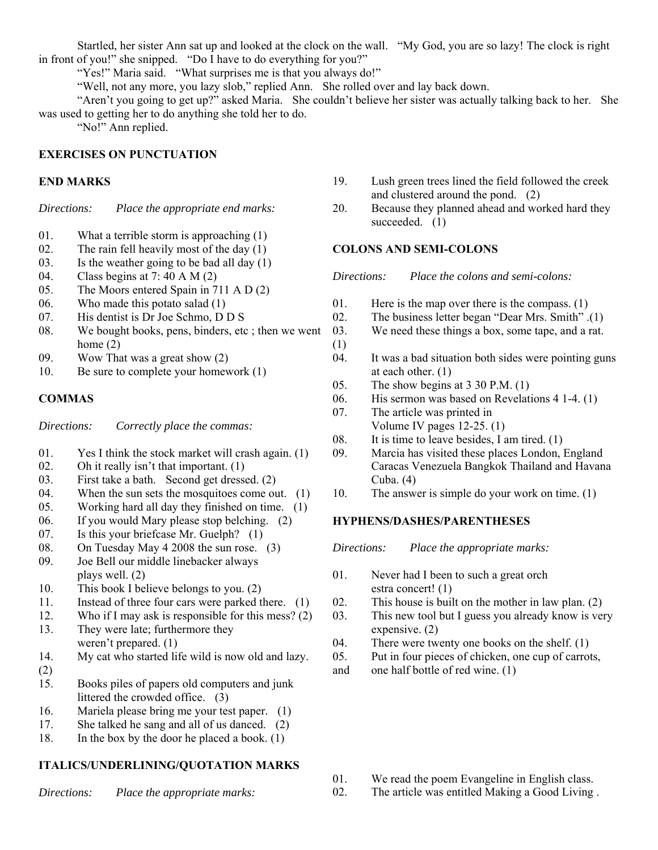Startled, her sister Ann sat up and looked at the clock on the wall. "My God, you are so lazy! The clock is right in front of you!" she snipped. "Do I have to do everything for you?"

"Yes!" Maria said. "What surprises me is that you always do!"

"Well, not any more, you lazy slob," replied Ann. She rolled over and lay back down.

 "Aren't you going to get up?" asked Maria. She couldn't believe her sister was actually talking back to her. She was used to getting her to do anything she told her to do.

"No!" Ann replied.

### **EXERCISES ON PUNCTUATION**

### **END MARKS**

*Directions: Place the appropriate end marks:*

- 01. What a terrible storm is approaching (1)
- 02. The rain fell heavily most of the day  $(1)$
- 03. Is the weather going to be bad all day  $(1)$
- 04. Class begins at 7: 40 A M (2)
- 05. The Moors entered Spain in 711 A D (2)
- 06. Who made this potato salad (1)
- 07. His dentist is Dr Joe Schmo, D D S
- 08. We bought books, pens, binders, etc ; then we went home (2)
- 09. Wow That was a great show (2)
- 10. Be sure to complete your homework (1)

### **COMMAS**

*Directions: Correctly place the commas:*

- 01. Yes I think the stock market will crash again. (1)
- 02. Oh it really isn't that important.  $(1)$
- 03. First take a bath. Second get dressed. (2)
- 04. When the sun sets the mosquitoes come out. (1)
- 05. Working hard all day they finished on time. (1)
- 06. If you would Mary please stop belching. (2)
- 07. Is this your briefcase Mr. Guelph? (1)
- 08. On Tuesday May 4 2008 the sun rose. (3)
- 09. Joe Bell our middle linebacker always plays well. (2)
- 10. This book I believe belongs to you. (2)
- 11. Instead of three four cars were parked there. (1)
- 12. Who if I may ask is responsible for this mess? (2)
- 13. They were late; furthermore they weren't prepared. (1)
- 14. My cat who started life wild is now old and lazy.
- (2)
- 15. Books piles of papers old computers and junk littered the crowded office. (3)
- 16. Mariela please bring me your test paper. (1)
- 17. She talked he sang and all of us danced. (2)
- 18. In the box by the door he placed a book. (1)

### **ITALICS/UNDERLINING/QUOTATION MARKS**

*Directions: Place the appropriate marks:*

- 19. Lush green trees lined the field followed the creek and clustered around the pond. (2)
- 20. Because they planned ahead and worked hard they succeeded. (1)

### **COLONS AND SEMI-COLONS**

*Directions: Place the colons and semi-colons:*

- 01. Here is the map over there is the compass. (1)
- 02. The business letter began "Dear Mrs. Smith" .(1)
- 03. We need these things a box, some tape, and a rat.
- (1) 04. It was a bad situation both sides were pointing guns at each other. (1)
- 05. The show begins at 3 30 P.M. (1)
- 06. His sermon was based on Revelations 4 1-4. (1)
- 07. The article was printed in Volume IV pages 12-25. (1)
- 08. It is time to leave besides, I am tired. (1)
- 09. Marcia has visited these places London, England Caracas Venezuela Bangkok Thailand and Havana Cuba. (4)
- 10. The answer is simple do your work on time. (1)

### **HYPHENS/DASHES/PARENTHESES**

*Directions: Place the appropriate marks:*

- 01. Never had I been to such a great orch estra concert! (1)
- 02. This house is built on the mother in law plan. (2)
- 03. This new tool but I guess you already know is very expensive. (2)
- 04. There were twenty one books on the shelf. (1)
- 05. Put in four pieces of chicken, one cup of carrots,
- and one half bottle of red wine. (1)

- 01. We read the poem Evangeline in English class.
- 02. The article was entitled Making a Good Living .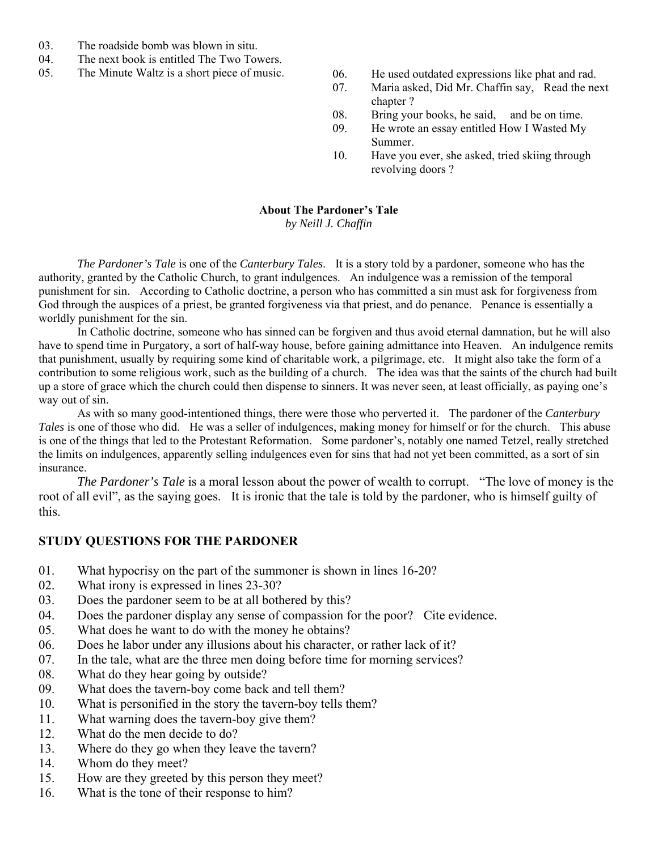- 03. The roadside bomb was blown in situ.
- 04. The next book is entitled The Two Towers.
- 
- 05. The Minute Waltz is a short piece of music. 06. He used outdated expressions like phat and rad.
	- 07. Maria asked, Did Mr. Chaffin say, Read the next chapter ?
	- 08. Bring your books, he said, and be on time.
	- 09. He wrote an essay entitled How I Wasted My Summer.
	- 10. Have you ever, she asked, tried skiing through revolving doors ?

## **About The Pardoner's Tale**

*by Neill J. Chaffin*

*The Pardoner's Tale* is one of the *Canterbury Tales*. It is a story told by a pardoner, someone who has the authority, granted by the Catholic Church, to grant indulgences. An indulgence was a remission of the temporal punishment for sin. According to Catholic doctrine, a person who has committed a sin must ask for forgiveness from God through the auspices of a priest, be granted forgiveness via that priest, and do penance. Penance is essentially a worldly punishment for the sin.

 In Catholic doctrine, someone who has sinned can be forgiven and thus avoid eternal damnation, but he will also have to spend time in Purgatory, a sort of half-way house, before gaining admittance into Heaven. An indulgence remits that punishment, usually by requiring some kind of charitable work, a pilgrimage, etc. It might also take the form of a contribution to some religious work, such as the building of a church. The idea was that the saints of the church had built up a store of grace which the church could then dispense to sinners. It was never seen, at least officially, as paying one's way out of sin.

 As with so many good-intentioned things, there were those who perverted it. The pardoner of the *Canterbury Tales* is one of those who did. He was a seller of indulgences, making money for himself or for the church. This abuse is one of the things that led to the Protestant Reformation. Some pardoner's, notably one named Tetzel, really stretched the limits on indulgences, apparently selling indulgences even for sins that had not yet been committed, as a sort of sin insurance.

*The Pardoner's Tale* is a moral lesson about the power of wealth to corrupt. "The love of money is the root of all evil", as the saying goes. It is ironic that the tale is told by the pardoner, who is himself guilty of this.

### **STUDY QUESTIONS FOR THE PARDONER**

- 01. What hypocrisy on the part of the summoner is shown in lines 16-20?
- 02. What irony is expressed in lines 23-30?
- 03. Does the pardoner seem to be at all bothered by this?
- 04. Does the pardoner display any sense of compassion for the poor? Cite evidence.
- 05. What does he want to do with the money he obtains?
- 06. Does he labor under any illusions about his character, or rather lack of it?
- 07. In the tale, what are the three men doing before time for morning services?
- 08. What do they hear going by outside?
- 09. What does the tavern-boy come back and tell them?
- 10. What is personified in the story the tavern-boy tells them?
- 11. What warning does the tavern-boy give them?
- 12. What do the men decide to do?
- 13. Where do they go when they leave the tavern?
- 14. Whom do they meet?
- 15. How are they greeted by this person they meet?
- 16. What is the tone of their response to him?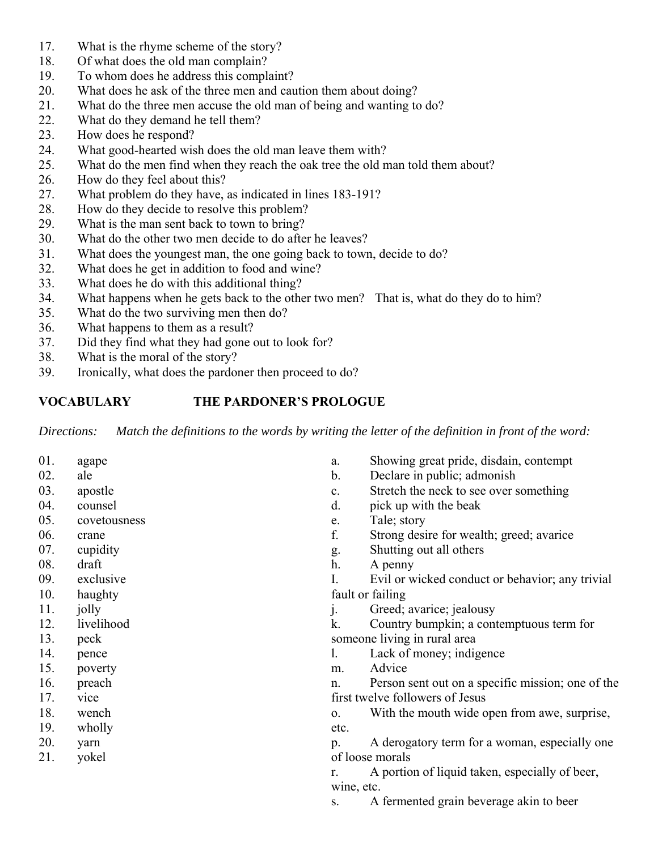- 17. What is the rhyme scheme of the story?
- 18. Of what does the old man complain?
- 19. To whom does he address this complaint?
- 20. What does he ask of the three men and caution them about doing?
- 21. What do the three men accuse the old man of being and wanting to do?
- 22. What do they demand he tell them?
- 23. How does he respond?
- 24. What good-hearted wish does the old man leave them with?
- 25. What do the men find when they reach the oak tree the old man told them about?
- 26. How do they feel about this?
- 27. What problem do they have, as indicated in lines 183-191?
- 28. How do they decide to resolve this problem?
- 29. What is the man sent back to town to bring?
- 30. What do the other two men decide to do after he leaves?
- 31. What does the youngest man, the one going back to town, decide to do?
- 32. What does he get in addition to food and wine?
- 33. What does he do with this additional thing?
- 34. What happens when he gets back to the other two men? That is, what do they do to him?
- 35. What do the two surviving men then do?
- 36. What happens to them as a result?
- 37. Did they find what they had gone out to look for?
- 38. What is the moral of the story?
- 39. Ironically, what does the pardoner then proceed to do?

# **VOCABULARY THE PARDONER'S PROLOGUE**

*Directions: Match the definitions to the words by writing the letter of the definition in front of the word:*

01. agape 02. ale 03. apostle 04. counsel 05. covetousness 06. crane 07. cupidity 08. draft 09. exclusive 10. haughty 11. jolly 12. livelihood 13. peck 14. pence 15. poverty 16. preach 17. vice 18. wench 19. wholly 20. yarn 21. yokel a. Showing great pride, disdain, contempt b. Declare in public; admonish c. Stretch the neck to see over something d. pick up with the beak e. Tale; story f. Strong desire for wealth; greed; avarice g. Shutting out all others h. A penny I. Evil or wicked conduct or behavior; any trivial fault or failing j. Greed; avarice; jealousy k. Country bumpkin; a contemptuous term for someone living in rural area l. Lack of money; indigence m. Advice n. Person sent out on a specific mission; one of the first twelve followers of Jesus o. With the mouth wide open from awe, surprise, etc. p. A derogatory term for a woman, especially one of loose morals r. A portion of liquid taken, especially of beer, wine, etc. s. A fermented grain beverage akin to beer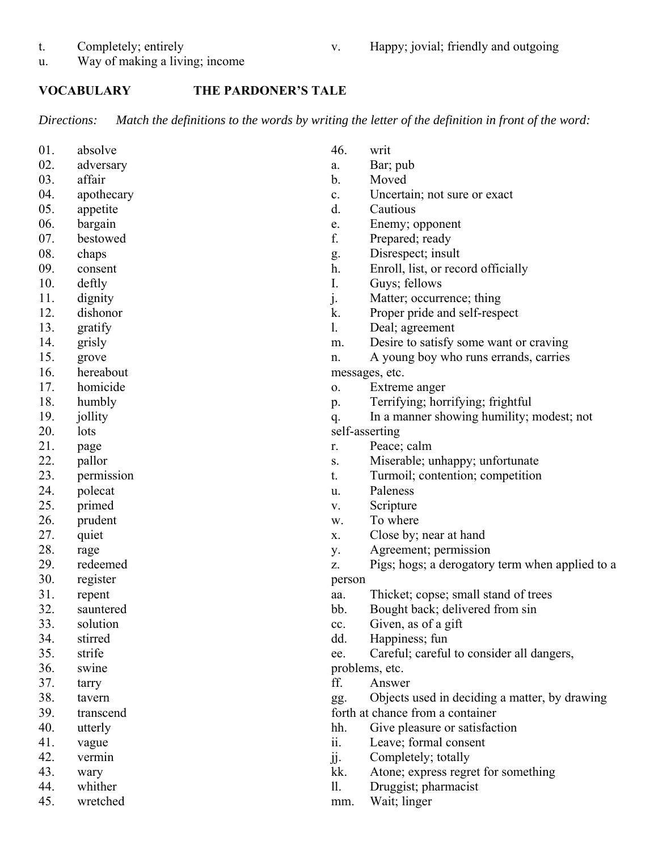t. Completely; entirely

- v. Happy; jovial; friendly and outgoing
- u. Way of making a living; income

### **VOCABULARY THE PARDONER'S TALE**

*Directions: Match the definitions to the words by writing the letter of the definition in front of the word:*

01. absolve 02. adversary 03. affair 04. apothecary 05. appetite 06. bargain 07. bestowed 08. chaps 09. consent 10. deftly 11. dignity 12. dishonor 13. gratify 14. grisly 15. grove 16. hereabout 17. homicide 18. humbly 19. jollity 20. lots 21. page 22. pallor 23. permission 24. polecat 25. primed 26. prudent 27. quiet 28. rage 29. redeemed 30. register 31. repent 32. sauntered 33. solution 34. stirred 35. strife 36. swine 37. tarry 38. tavern 39. transcend 40. utterly 41. vague 42. vermin 43. wary 44. whither 45. wretched 46. writ a. Bar; pub b. Moved c. Uncertain; not sure or exact d. Cautious e. Enemy; opponent f. Prepared; ready g. Disrespect; insult h. Enroll, list, or record officially I. Guys; fellows j. Matter; occurrence; thing k. Proper pride and self-respect l. Deal; agreement m. Desire to satisfy some want or craving n. A young boy who runs errands, carries messages, etc. o. Extreme anger p. Terrifying; horrifying; frightful q. In a manner showing humility; modest; not self-asserting r. Peace; calm s. Miserable; unhappy; unfortunate t. Turmoil; contention; competition u. Paleness v. Scripture w. To where x. Close by; near at hand y. Agreement; permission z. Pigs; hogs; a derogatory term when applied to a person aa. Thicket; copse; small stand of trees bb. Bought back; delivered from sin cc. Given, as of a gift dd. Happiness; fun ee. Careful; careful to consider all dangers, problems, etc. ff. Answer gg. Objects used in deciding a matter, by drawing forth at chance from a container hh. Give pleasure or satisfaction ii. Leave; formal consent jj. Completely; totally kk. Atone; express regret for something ll. Druggist; pharmacist mm. Wait; linger